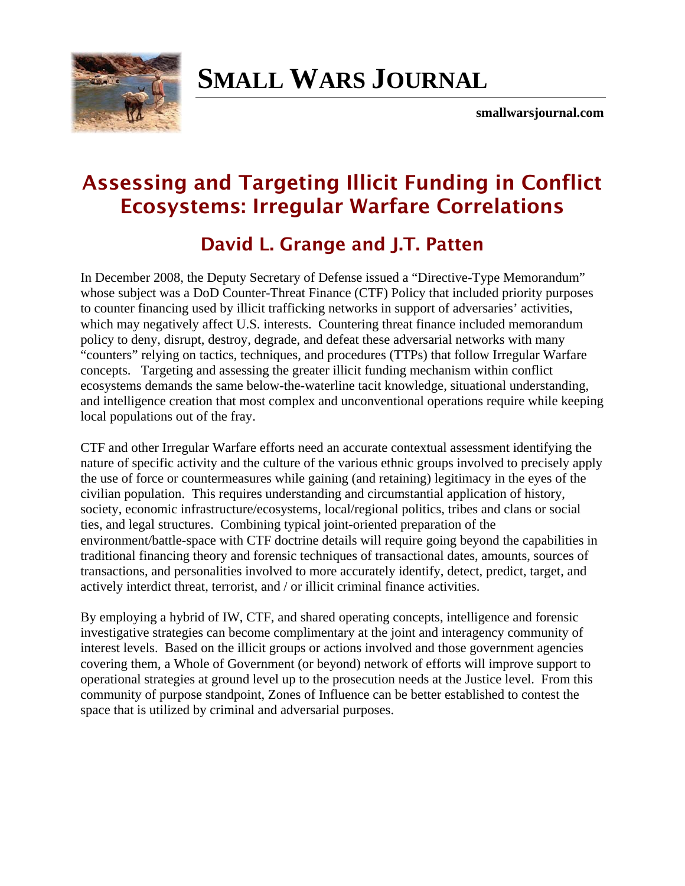

# **[SMALL WARS JOURNAL](http://smallwarsjournal.com/)**

**smallwarsjournal.com**

## **Assessing and Targeting Illicit Funding in Conflict Ecosystems: Irregular Warfare Correlations**

### **David L. Grange and J.T. Patten**

In December 2008, the Deputy Secretary of Defense issued a "Directive-Type Memorandum" whose subject was a DoD Counter-Threat Finance (CTF) Policy that included priority purposes to counter financing used by illicit trafficking networks in support of adversaries' activities, which may negatively affect U.S. interests. Countering threat finance included memorandum policy to deny, disrupt, destroy, degrade, and defeat these adversarial networks with many "counters" relying on tactics, techniques, and procedures (TTPs) that follow Irregular Warfare concepts. Targeting and assessing the greater illicit funding mechanism within conflict ecosystems demands the same below-the-waterline tacit knowledge, situational understanding, and intelligence creation that most complex and unconventional operations require while keeping local populations out of the fray.

CTF and other Irregular Warfare efforts need an accurate contextual assessment identifying the nature of specific activity and the culture of the various ethnic groups involved to precisely apply the use of force or countermeasures while gaining (and retaining) legitimacy in the eyes of the civilian population. This requires understanding and circumstantial application of history, society, economic infrastructure/ecosystems, local/regional politics, tribes and clans or social ties, and legal structures. Combining typical joint-oriented preparation of the environment/battle-space with CTF doctrine details will require going beyond the capabilities in traditional financing theory and forensic techniques of transactional dates, amounts, sources of transactions, and personalities involved to more accurately identify, detect, predict, target, and actively interdict threat, terrorist, and / or illicit criminal finance activities.

By employing a hybrid of IW, CTF, and shared operating concepts, intelligence and forensic investigative strategies can become complimentary at the joint and interagency community of interest levels. Based on the illicit groups or actions involved and those government agencies covering them, a Whole of Government (or beyond) network of efforts will improve support to operational strategies at ground level up to the prosecution needs at the Justice level. From this community of purpose standpoint, Zones of Influence can be better established to contest the space that is utilized by criminal and adversarial purposes.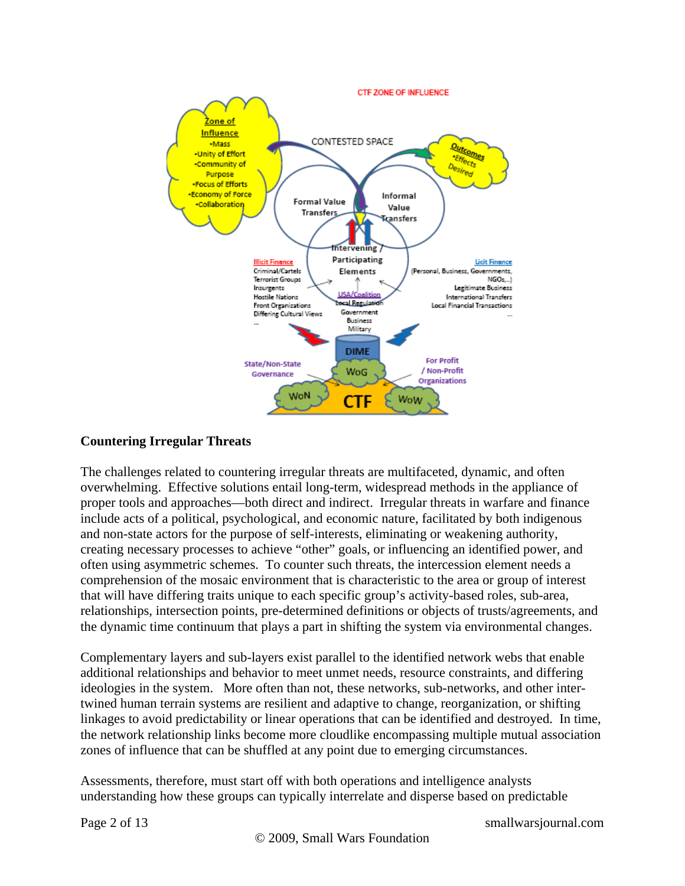

#### **Countering Irregular Threats**

The challenges related to countering irregular threats are multifaceted, dynamic, and often overwhelming. Effective solutions entail long-term, widespread methods in the appliance of proper tools and approaches—both direct and indirect. Irregular threats in warfare and finance include acts of a political, psychological, and economic nature, facilitated by both indigenous and non-state actors for the purpose of self-interests, eliminating or weakening authority, creating necessary processes to achieve "other" goals, or influencing an identified power, and often using asymmetric schemes. To counter such threats, the intercession element needs a comprehension of the mosaic environment that is characteristic to the area or group of interest that will have differing traits unique to each specific group's activity-based roles, sub-area, relationships, intersection points, pre-determined definitions or objects of trusts/agreements, and the dynamic time continuum that plays a part in shifting the system via environmental changes.

Complementary layers and sub-layers exist parallel to the identified network webs that enable additional relationships and behavior to meet unmet needs, resource constraints, and differing ideologies in the system. More often than not, these networks, sub-networks, and other intertwined human terrain systems are resilient and adaptive to change, reorganization, or shifting linkages to avoid predictability or linear operations that can be identified and destroyed. In time, the network relationship links become more cloudlike encompassing multiple mutual association zones of influence that can be shuffled at any point due to emerging circumstances.

Assessments, therefore, must start off with both operations and intelligence analysts understanding how these groups can typically interrelate and disperse based on predictable

Page 2 of 13 smallwarsjournal.com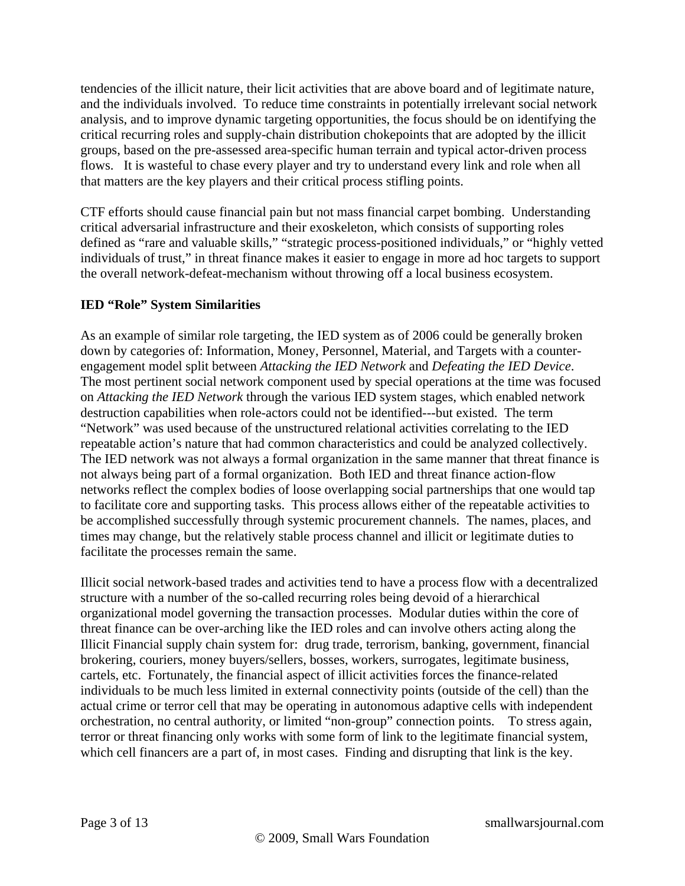tendencies of the illicit nature, their licit activities that are above board and of legitimate nature, and the individuals involved. To reduce time constraints in potentially irrelevant social network analysis, and to improve dynamic targeting opportunities, the focus should be on identifying the critical recurring roles and supply-chain distribution chokepoints that are adopted by the illicit groups, based on the pre-assessed area-specific human terrain and typical actor-driven process flows. It is wasteful to chase every player and try to understand every link and role when all that matters are the key players and their critical process stifling points.

CTF efforts should cause financial pain but not mass financial carpet bombing. Understanding critical adversarial infrastructure and their exoskeleton, which consists of supporting roles defined as "rare and valuable skills," "strategic process-positioned individuals," or "highly vetted individuals of trust," in threat finance makes it easier to engage in more ad hoc targets to support the overall network-defeat-mechanism without throwing off a local business ecosystem.

#### **IED "Role" System Similarities**

As an example of similar role targeting, the IED system as of 2006 could be generally broken down by categories of: Information, Money, Personnel, Material, and Targets with a counterengagement model split between *Attacking the IED Network* and *Defeating the IED Device*. The most pertinent social network component used by special operations at the time was focused on *Attacking the IED Network* through the various IED system stages, which enabled network destruction capabilities when role-actors could not be identified---but existed. The term "Network" was used because of the unstructured relational activities correlating to the IED repeatable action's nature that had common characteristics and could be analyzed collectively. The IED network was not always a formal organization in the same manner that threat finance is not always being part of a formal organization. Both IED and threat finance action-flow networks reflect the complex bodies of loose overlapping social partnerships that one would tap to facilitate core and supporting tasks. This process allows either of the repeatable activities to be accomplished successfully through systemic procurement channels. The names, places, and times may change, but the relatively stable process channel and illicit or legitimate duties to facilitate the processes remain the same.

Illicit social network-based trades and activities tend to have a process flow with a decentralized structure with a number of the so-called recurring roles being devoid of a hierarchical organizational model governing the transaction processes. Modular duties within the core of threat finance can be over-arching like the IED roles and can involve others acting along the Illicit Financial supply chain system for: drug trade, terrorism, banking, government, financial brokering, couriers, money buyers/sellers, bosses, workers, surrogates, legitimate business, cartels, etc. Fortunately, the financial aspect of illicit activities forces the finance-related individuals to be much less limited in external connectivity points (outside of the cell) than the actual crime or terror cell that may be operating in autonomous adaptive cells with independent orchestration, no central authority, or limited "non-group" connection points. To stress again, terror or threat financing only works with some form of link to the legitimate financial system, which cell financers are a part of, in most cases. Finding and disrupting that link is the key.

Page 3 of 13 smallwarsjournal.com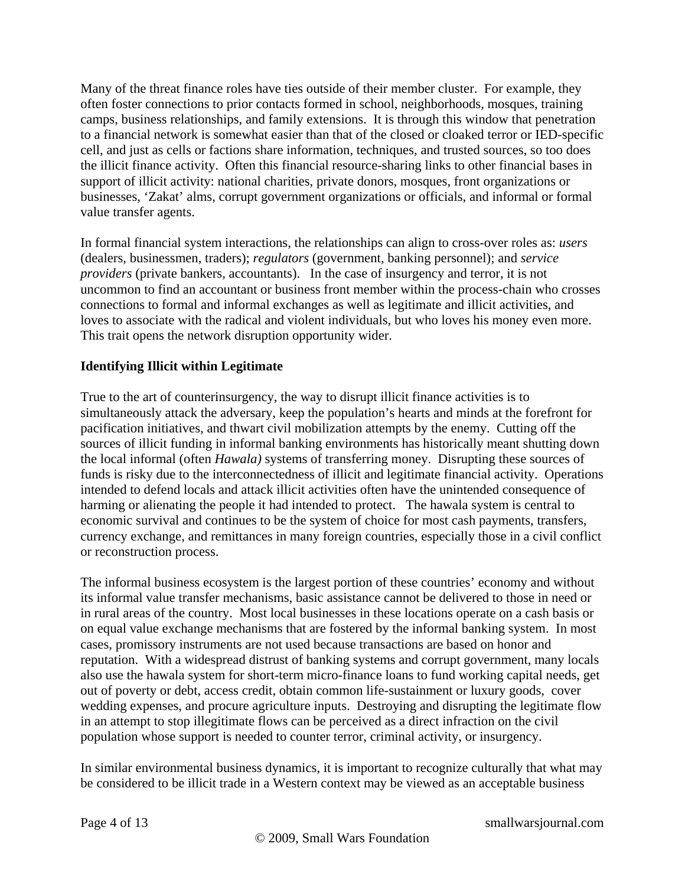Many of the threat finance roles have ties outside of their member cluster. For example, they often foster connections to prior contacts formed in school, neighborhoods, mosques, training camps, business relationships, and family extensions. It is through this window that penetration to a financial network is somewhat easier than that of the closed or cloaked terror or IED-specific cell, and just as cells or factions share information, techniques, and trusted sources, so too does the illicit finance activity. Often this financial resource-sharing links to other financial bases in support of illicit activity: national charities, private donors, mosques, front organizations or businesses, 'Zakat' alms, corrupt government organizations or officials, and informal or formal value transfer agents.

In formal financial system interactions, the relationships can align to cross-over roles as: *users*  (dealers, businessmen, traders); *regulators* (government, banking personnel); and *service providers* (private bankers, accountants). In the case of insurgency and terror, it is not uncommon to find an accountant or business front member within the process-chain who crosses connections to formal and informal exchanges as well as legitimate and illicit activities, and loves to associate with the radical and violent individuals, but who loves his money even more. This trait opens the network disruption opportunity wider.

#### **Identifying Illicit within Legitimate**

True to the art of counterinsurgency, the way to disrupt illicit finance activities is to simultaneously attack the adversary, keep the population's hearts and minds at the forefront for pacification initiatives, and thwart civil mobilization attempts by the enemy. Cutting off the sources of illicit funding in informal banking environments has historically meant shutting down the local informal (often *Hawala)* systems of transferring money. Disrupting these sources of funds is risky due to the interconnectedness of illicit and legitimate financial activity. Operations intended to defend locals and attack illicit activities often have the unintended consequence of harming or alienating the people it had intended to protect. The hawala system is central to economic survival and continues to be the system of choice for most cash payments, transfers, currency exchange, and remittances in many foreign countries, especially those in a civil conflict or reconstruction process.

The informal business ecosystem is the largest portion of these countries' economy and without its informal value transfer mechanisms, basic assistance cannot be delivered to those in need or in rural areas of the country. Most local businesses in these locations operate on a cash basis or on equal value exchange mechanisms that are fostered by the informal banking system. In most cases, promissory instruments are not used because transactions are based on honor and reputation. With a widespread distrust of banking systems and corrupt government, many locals also use the hawala system for short-term micro-finance loans to fund working capital needs, get out of poverty or debt, access credit, obtain common life-sustainment or luxury goods, cover wedding expenses, and procure agriculture inputs. Destroying and disrupting the legitimate flow in an attempt to stop illegitimate flows can be perceived as a direct infraction on the civil population whose support is needed to counter terror, criminal activity, or insurgency.

In similar environmental business dynamics, it is important to recognize culturally that what may be considered to be illicit trade in a Western context may be viewed as an acceptable business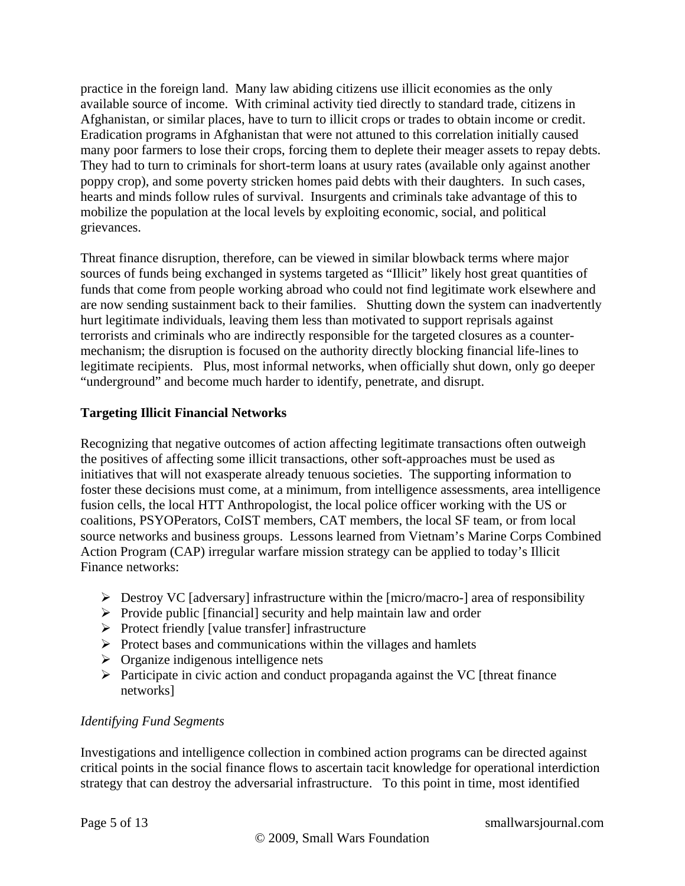practice in the foreign land. Many law abiding citizens use illicit economies as the only available source of income. With criminal activity tied directly to standard trade, citizens in Afghanistan, or similar places, have to turn to illicit crops or trades to obtain income or credit. Eradication programs in Afghanistan that were not attuned to this correlation initially caused many poor farmers to lose their crops, forcing them to deplete their meager assets to repay debts. They had to turn to criminals for short-term loans at usury rates (available only against another poppy crop), and some poverty stricken homes paid debts with their daughters. In such cases, hearts and minds follow rules of survival. Insurgents and criminals take advantage of this to mobilize the population at the local levels by exploiting economic, social, and political grievances.

Threat finance disruption, therefore, can be viewed in similar blowback terms where major sources of funds being exchanged in systems targeted as "Illicit" likely host great quantities of funds that come from people working abroad who could not find legitimate work elsewhere and are now sending sustainment back to their families. Shutting down the system can inadvertently hurt legitimate individuals, leaving them less than motivated to support reprisals against terrorists and criminals who are indirectly responsible for the targeted closures as a countermechanism; the disruption is focused on the authority directly blocking financial life-lines to legitimate recipients. Plus, most informal networks, when officially shut down, only go deeper "underground" and become much harder to identify, penetrate, and disrupt.

#### **Targeting Illicit Financial Networks**

Recognizing that negative outcomes of action affecting legitimate transactions often outweigh the positives of affecting some illicit transactions, other soft-approaches must be used as initiatives that will not exasperate already tenuous societies. The supporting information to foster these decisions must come, at a minimum, from intelligence assessments, area intelligence fusion cells, the local HTT Anthropologist, the local police officer working with the US or coalitions, PSYOPerators, CoIST members, CAT members, the local SF team, or from local source networks and business groups. Lessons learned from Vietnam's Marine Corps Combined Action Program (CAP) irregular warfare mission strategy can be applied to today's Illicit Finance networks:

- $\triangleright$  Destroy VC [adversary] infrastructure within the [micro/macro-] area of responsibility
- $\triangleright$  Provide public [financial] security and help maintain law and order
- $\triangleright$  Protect friendly [value transfer] infrastructure
- $\triangleright$  Protect bases and communications within the villages and hamlets
- $\triangleright$  Organize indigenous intelligence nets
- $\triangleright$  Participate in civic action and conduct propaganda against the VC [threat finance networks]

#### *Identifying Fund Segments*

Investigations and intelligence collection in combined action programs can be directed against critical points in the social finance flows to ascertain tacit knowledge for operational interdiction strategy that can destroy the adversarial infrastructure. To this point in time, most identified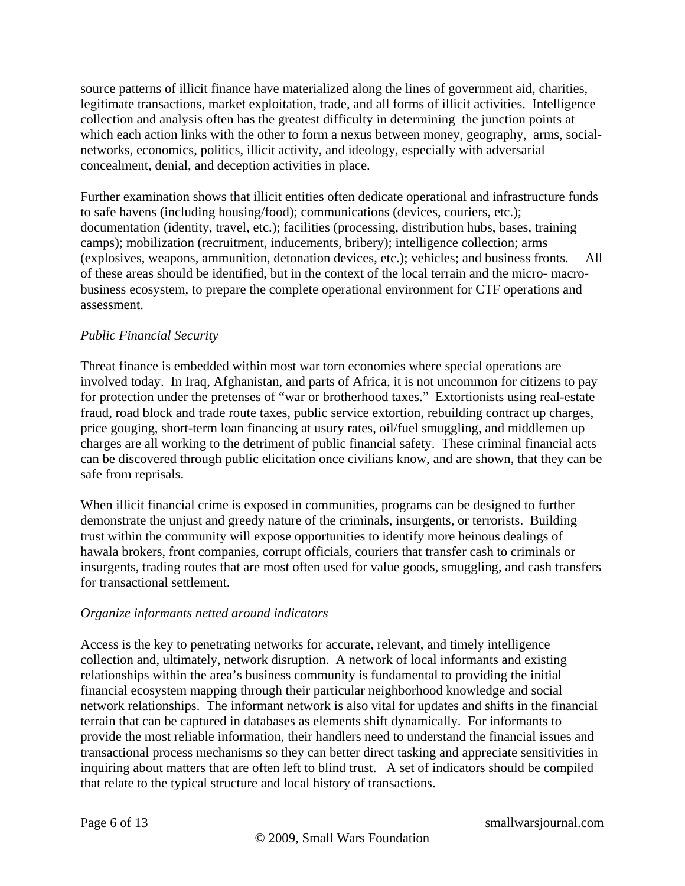source patterns of illicit finance have materialized along the lines of government aid, charities, legitimate transactions, market exploitation, trade, and all forms of illicit activities. Intelligence collection and analysis often has the greatest difficulty in determining the junction points at which each action links with the other to form a nexus between money, geography, arms, socialnetworks, economics, politics, illicit activity, and ideology, especially with adversarial concealment, denial, and deception activities in place.

Further examination shows that illicit entities often dedicate operational and infrastructure funds to safe havens (including housing/food); communications (devices, couriers, etc.); documentation (identity, travel, etc.); facilities (processing, distribution hubs, bases, training camps); mobilization (recruitment, inducements, bribery); intelligence collection; arms (explosives, weapons, ammunition, detonation devices, etc.); vehicles; and business fronts. All of these areas should be identified, but in the context of the local terrain and the micro- macrobusiness ecosystem, to prepare the complete operational environment for CTF operations and assessment.

#### *Public Financial Security*

Threat finance is embedded within most war torn economies where special operations are involved today. In Iraq, Afghanistan, and parts of Africa, it is not uncommon for citizens to pay for protection under the pretenses of "war or brotherhood taxes." Extortionists using real-estate fraud, road block and trade route taxes, public service extortion, rebuilding contract up charges, price gouging, short-term loan financing at usury rates, oil/fuel smuggling, and middlemen up charges are all working to the detriment of public financial safety. These criminal financial acts can be discovered through public elicitation once civilians know, and are shown, that they can be safe from reprisals.

When illicit financial crime is exposed in communities, programs can be designed to further demonstrate the unjust and greedy nature of the criminals, insurgents, or terrorists. Building trust within the community will expose opportunities to identify more heinous dealings of hawala brokers, front companies, corrupt officials, couriers that transfer cash to criminals or insurgents, trading routes that are most often used for value goods, smuggling, and cash transfers for transactional settlement.

#### *Organize informants netted around indicators*

Access is the key to penetrating networks for accurate, relevant, and timely intelligence collection and, ultimately, network disruption. A network of local informants and existing relationships within the area's business community is fundamental to providing the initial financial ecosystem mapping through their particular neighborhood knowledge and social network relationships. The informant network is also vital for updates and shifts in the financial terrain that can be captured in databases as elements shift dynamically. For informants to provide the most reliable information, their handlers need to understand the financial issues and transactional process mechanisms so they can better direct tasking and appreciate sensitivities in inquiring about matters that are often left to blind trust. A set of indicators should be compiled that relate to the typical structure and local history of transactions.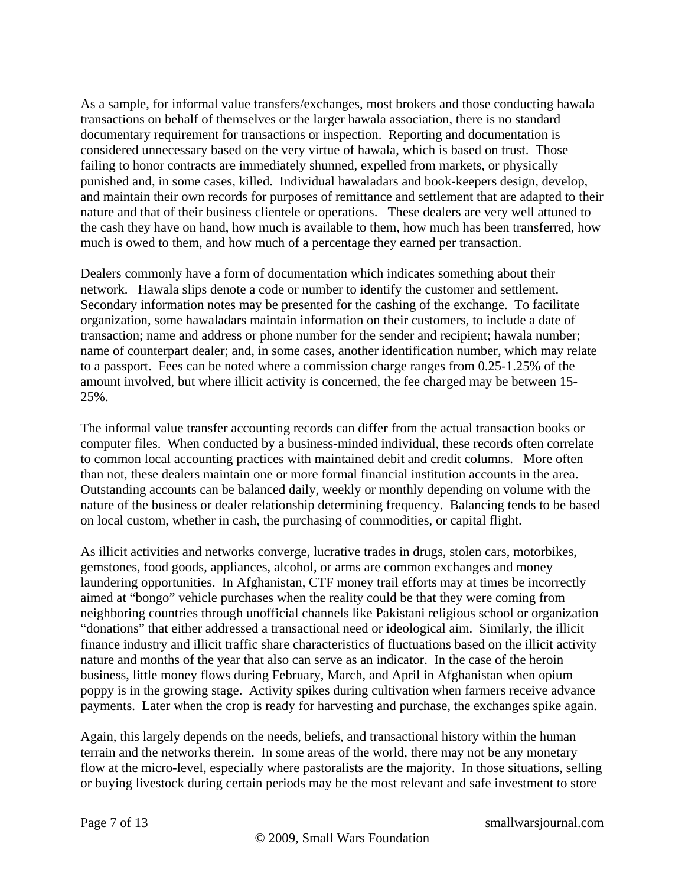As a sample, for informal value transfers/exchanges, most brokers and those conducting hawala transactions on behalf of themselves or the larger hawala association, there is no standard documentary requirement for transactions or inspection. Reporting and documentation is considered unnecessary based on the very virtue of hawala, which is based on trust. Those failing to honor contracts are immediately shunned, expelled from markets, or physically punished and, in some cases, killed. Individual hawaladars and book-keepers design, develop, and maintain their own records for purposes of remittance and settlement that are adapted to their nature and that of their business clientele or operations. These dealers are very well attuned to the cash they have on hand, how much is available to them, how much has been transferred, how much is owed to them, and how much of a percentage they earned per transaction.

Dealers commonly have a form of documentation which indicates something about their network. Hawala slips denote a code or number to identify the customer and settlement. Secondary information notes may be presented for the cashing of the exchange. To facilitate organization, some hawaladars maintain information on their customers, to include a date of transaction; name and address or phone number for the sender and recipient; hawala number; name of counterpart dealer; and, in some cases, another identification number, which may relate to a passport. Fees can be noted where a commission charge ranges from 0.25-1.25% of the amount involved, but where illicit activity is concerned, the fee charged may be between 15- 25%.

The informal value transfer accounting records can differ from the actual transaction books or computer files. When conducted by a business-minded individual, these records often correlate to common local accounting practices with maintained debit and credit columns. More often than not, these dealers maintain one or more formal financial institution accounts in the area. Outstanding accounts can be balanced daily, weekly or monthly depending on volume with the nature of the business or dealer relationship determining frequency. Balancing tends to be based on local custom, whether in cash, the purchasing of commodities, or capital flight.

As illicit activities and networks converge, lucrative trades in drugs, stolen cars, motorbikes, gemstones, food goods, appliances, alcohol, or arms are common exchanges and money laundering opportunities. In Afghanistan, CTF money trail efforts may at times be incorrectly aimed at "bongo" vehicle purchases when the reality could be that they were coming from neighboring countries through unofficial channels like Pakistani religious school or organization "donations" that either addressed a transactional need or ideological aim. Similarly, the illicit finance industry and illicit traffic share characteristics of fluctuations based on the illicit activity nature and months of the year that also can serve as an indicator. In the case of the heroin business, little money flows during February, March, and April in Afghanistan when opium poppy is in the growing stage. Activity spikes during cultivation when farmers receive advance payments. Later when the crop is ready for harvesting and purchase, the exchanges spike again.

Again, this largely depends on the needs, beliefs, and transactional history within the human terrain and the networks therein. In some areas of the world, there may not be any monetary flow at the micro-level, especially where pastoralists are the majority. In those situations, selling or buying livestock during certain periods may be the most relevant and safe investment to store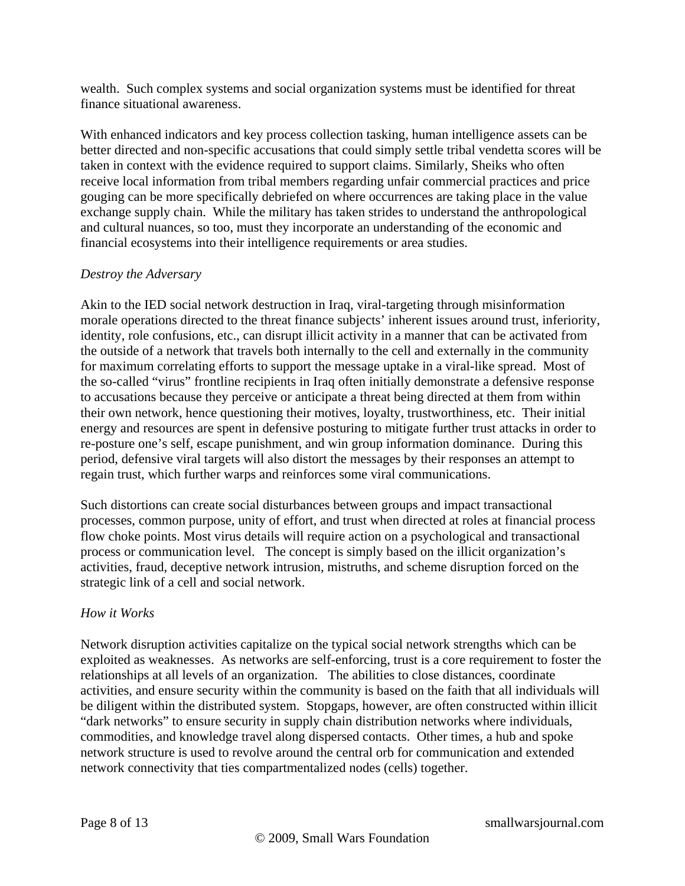wealth. Such complex systems and social organization systems must be identified for threat finance situational awareness.

With enhanced indicators and key process collection tasking, human intelligence assets can be better directed and non-specific accusations that could simply settle tribal vendetta scores will be taken in context with the evidence required to support claims. Similarly, Sheiks who often receive local information from tribal members regarding unfair commercial practices and price gouging can be more specifically debriefed on where occurrences are taking place in the value exchange supply chain. While the military has taken strides to understand the anthropological and cultural nuances, so too, must they incorporate an understanding of the economic and financial ecosystems into their intelligence requirements or area studies.

#### *Destroy the Adversary*

Akin to the IED social network destruction in Iraq, viral-targeting through misinformation morale operations directed to the threat finance subjects' inherent issues around trust, inferiority, identity, role confusions, etc., can disrupt illicit activity in a manner that can be activated from the outside of a network that travels both internally to the cell and externally in the community for maximum correlating efforts to support the message uptake in a viral-like spread. Most of the so-called "virus" frontline recipients in Iraq often initially demonstrate a defensive response to accusations because they perceive or anticipate a threat being directed at them from within their own network, hence questioning their motives, loyalty, trustworthiness, etc. Their initial energy and resources are spent in defensive posturing to mitigate further trust attacks in order to re-posture one's self, escape punishment, and win group information dominance. During this period, defensive viral targets will also distort the messages by their responses an attempt to regain trust, which further warps and reinforces some viral communications.

Such distortions can create social disturbances between groups and impact transactional processes, common purpose, unity of effort, and trust when directed at roles at financial process flow choke points. Most virus details will require action on a psychological and transactional process or communication level. The concept is simply based on the illicit organization's activities, fraud, deceptive network intrusion, mistruths, and scheme disruption forced on the strategic link of a cell and social network.

#### *How it Works*

Network disruption activities capitalize on the typical social network strengths which can be exploited as weaknesses. As networks are self-enforcing, trust is a core requirement to foster the relationships at all levels of an organization. The abilities to close distances, coordinate activities, and ensure security within the community is based on the faith that all individuals will be diligent within the distributed system. Stopgaps, however, are often constructed within illicit "dark networks" to ensure security in supply chain distribution networks where individuals, commodities, and knowledge travel along dispersed contacts. Other times, a hub and spoke network structure is used to revolve around the central orb for communication and extended network connectivity that ties compartmentalized nodes (cells) together.

Page 8 of 13 smallwarsjournal.com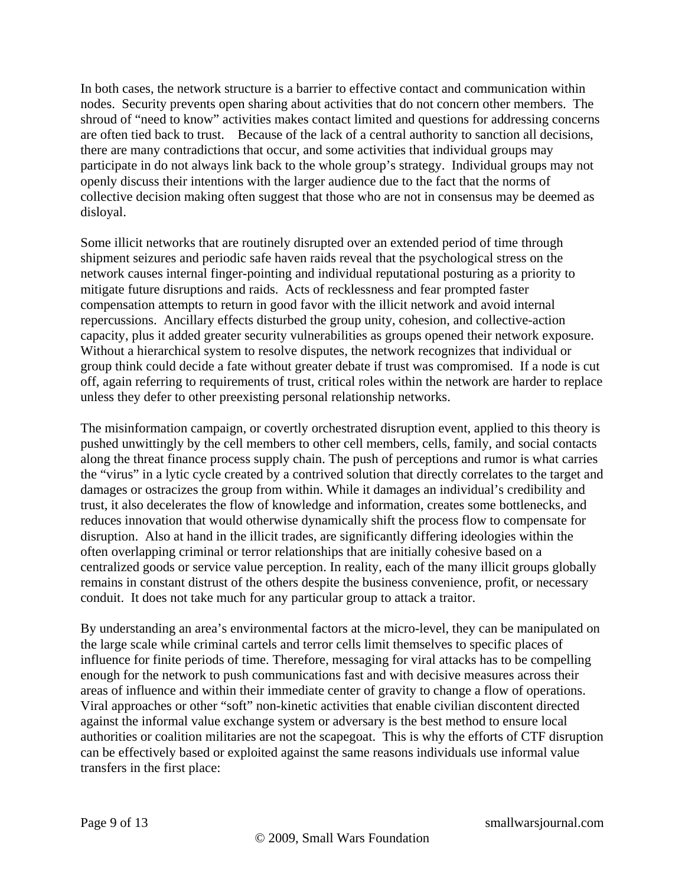In both cases, the network structure is a barrier to effective contact and communication within nodes. Security prevents open sharing about activities that do not concern other members. The shroud of "need to know" activities makes contact limited and questions for addressing concerns are often tied back to trust. Because of the lack of a central authority to sanction all decisions, there are many contradictions that occur, and some activities that individual groups may participate in do not always link back to the whole group's strategy. Individual groups may not openly discuss their intentions with the larger audience due to the fact that the norms of collective decision making often suggest that those who are not in consensus may be deemed as disloyal.

Some illicit networks that are routinely disrupted over an extended period of time through shipment seizures and periodic safe haven raids reveal that the psychological stress on the network causes internal finger-pointing and individual reputational posturing as a priority to mitigate future disruptions and raids. Acts of recklessness and fear prompted faster compensation attempts to return in good favor with the illicit network and avoid internal repercussions. Ancillary effects disturbed the group unity, cohesion, and collective-action capacity, plus it added greater security vulnerabilities as groups opened their network exposure. Without a hierarchical system to resolve disputes, the network recognizes that individual or group think could decide a fate without greater debate if trust was compromised. If a node is cut off, again referring to requirements of trust, critical roles within the network are harder to replace unless they defer to other preexisting personal relationship networks.

The misinformation campaign, or covertly orchestrated disruption event, applied to this theory is pushed unwittingly by the cell members to other cell members, cells, family, and social contacts along the threat finance process supply chain. The push of perceptions and rumor is what carries the "virus" in a lytic cycle created by a contrived solution that directly correlates to the target and damages or ostracizes the group from within. While it damages an individual's credibility and trust, it also decelerates the flow of knowledge and information, creates some bottlenecks, and reduces innovation that would otherwise dynamically shift the process flow to compensate for disruption. Also at hand in the illicit trades, are significantly differing ideologies within the often overlapping criminal or terror relationships that are initially cohesive based on a centralized goods or service value perception. In reality, each of the many illicit groups globally remains in constant distrust of the others despite the business convenience, profit, or necessary conduit. It does not take much for any particular group to attack a traitor.

By understanding an area's environmental factors at the micro-level, they can be manipulated on the large scale while criminal cartels and terror cells limit themselves to specific places of influence for finite periods of time. Therefore, messaging for viral attacks has to be compelling enough for the network to push communications fast and with decisive measures across their areas of influence and within their immediate center of gravity to change a flow of operations. Viral approaches or other "soft" non-kinetic activities that enable civilian discontent directed against the informal value exchange system or adversary is the best method to ensure local authorities or coalition militaries are not the scapegoat. This is why the efforts of CTF disruption can be effectively based or exploited against the same reasons individuals use informal value transfers in the first place:

Page 9 of 13 smallwarsjournal.com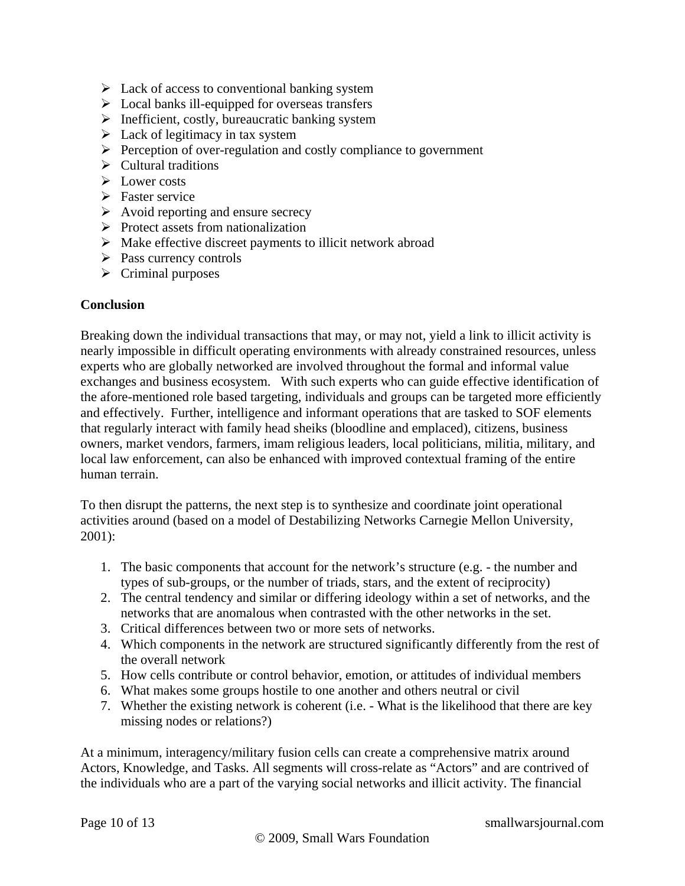- $\triangleright$  Lack of access to conventional banking system
- $\triangleright$  Local banks ill-equipped for overseas transfers
- $\triangleright$  Inefficient, costly, bureaucratic banking system
- $\triangleright$  Lack of legitimacy in tax system
- $\triangleright$  Perception of over-regulation and costly compliance to government
- $\triangleright$  Cultural traditions
- $\triangleright$  Lower costs
- $\triangleright$  Faster service
- $\triangleright$  Avoid reporting and ensure secrecy
- $\triangleright$  Protect assets from nationalization
- $\triangleright$  Make effective discreet payments to illicit network abroad
- $\triangleright$  Pass currency controls
- $\triangleright$  Criminal purposes

#### **Conclusion**

Breaking down the individual transactions that may, or may not, yield a link to illicit activity is nearly impossible in difficult operating environments with already constrained resources, unless experts who are globally networked are involved throughout the formal and informal value exchanges and business ecosystem. With such experts who can guide effective identification of the afore-mentioned role based targeting, individuals and groups can be targeted more efficiently and effectively. Further, intelligence and informant operations that are tasked to SOF elements that regularly interact with family head sheiks (bloodline and emplaced), citizens, business owners, market vendors, farmers, imam religious leaders, local politicians, militia, military, and local law enforcement, can also be enhanced with improved contextual framing of the entire human terrain.

To then disrupt the patterns, the next step is to synthesize and coordinate joint operational activities around (based on a model of Destabilizing Networks Carnegie Mellon University, 2001):

- 1. The basic components that account for the network's structure (e.g. the number and types of sub-groups, or the number of triads, stars, and the extent of reciprocity)
- 2. The central tendency and similar or differing ideology within a set of networks, and the networks that are anomalous when contrasted with the other networks in the set.
- 3. Critical differences between two or more sets of networks.
- 4. Which components in the network are structured significantly differently from the rest of the overall network
- 5. How cells contribute or control behavior, emotion, or attitudes of individual members
- 6. What makes some groups hostile to one another and others neutral or civil
- 7. Whether the existing network is coherent (i.e. What is the likelihood that there are key missing nodes or relations?)

At a minimum, interagency/military fusion cells can create a comprehensive matrix around Actors, Knowledge, and Tasks. All segments will cross-relate as "Actors" and are contrived of the individuals who are a part of the varying social networks and illicit activity. The financial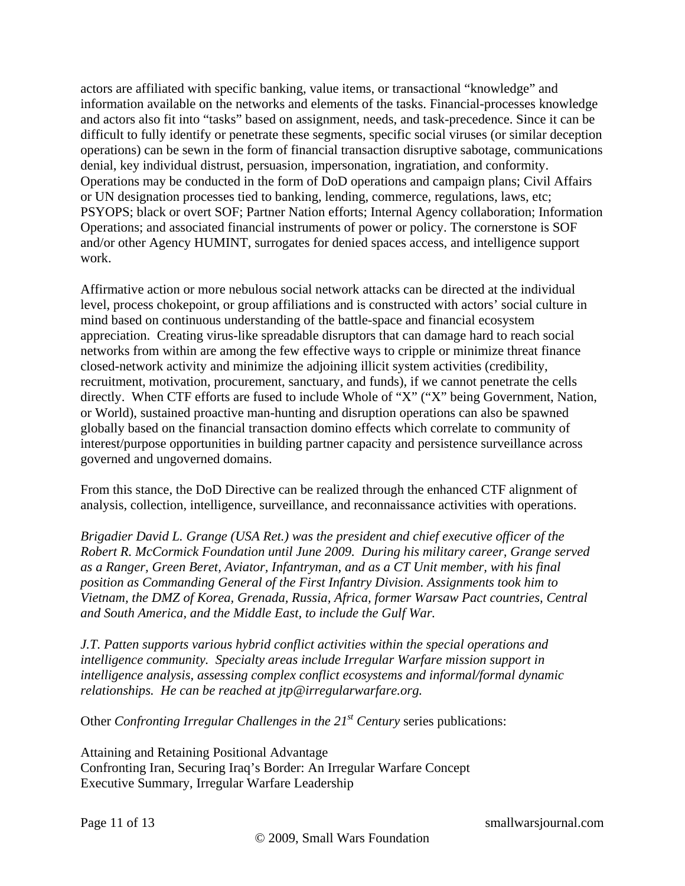actors are affiliated with specific banking, value items, or transactional "knowledge" and information available on the networks and elements of the tasks. Financial-processes knowledge and actors also fit into "tasks" based on assignment, needs, and task-precedence. Since it can be difficult to fully identify or penetrate these segments, specific social viruses (or similar deception operations) can be sewn in the form of financial transaction disruptive sabotage, communications denial, key individual distrust, persuasion, impersonation, ingratiation, and conformity. Operations may be conducted in the form of DoD operations and campaign plans; Civil Affairs or UN designation processes tied to banking, lending, commerce, regulations, laws, etc; PSYOPS; black or overt SOF; Partner Nation efforts; Internal Agency collaboration; Information Operations; and associated financial instruments of power or policy. The cornerstone is SOF and/or other Agency HUMINT, surrogates for denied spaces access, and intelligence support work.

Affirmative action or more nebulous social network attacks can be directed at the individual level, process chokepoint, or group affiliations and is constructed with actors' social culture in mind based on continuous understanding of the battle-space and financial ecosystem appreciation. Creating virus-like spreadable disruptors that can damage hard to reach social networks from within are among the few effective ways to cripple or minimize threat finance closed-network activity and minimize the adjoining illicit system activities (credibility, recruitment, motivation, procurement, sanctuary, and funds), if we cannot penetrate the cells directly. When CTF efforts are fused to include Whole of "X" ("X" being Government, Nation, or World), sustained proactive man-hunting and disruption operations can also be spawned globally based on the financial transaction domino effects which correlate to community of interest/purpose opportunities in building partner capacity and persistence surveillance across governed and ungoverned domains.

From this stance, the DoD Directive can be realized through the enhanced CTF alignment of analysis, collection, intelligence, surveillance, and reconnaissance activities with operations.

*Brigadier David L. Grange (USA Ret.) was the president and chief executive officer of the Robert R. McCormick Foundation until June 2009. During his military career, Grange served as a Ranger, Green Beret, Aviator, Infantryman, and as a CT Unit member, with his final position as Commanding General of the First Infantry Division. Assignments took him to Vietnam, the DMZ of Korea, Grenada, Russia, Africa, former Warsaw Pact countries, Central and South America, and the Middle East, to include the Gulf War.* 

*J.T. Patten supports various hybrid conflict activities within the special operations and intelligence community. Specialty areas include Irregular Warfare mission support in intelligence analysis, assessing complex conflict ecosystems and informal/formal dynamic relationships. He can be reached at jtp@irregularwarfare.org.* 

Other *Confronting Irregular Challenges in the 21st Century* series publications:

Attaining and Retaining Positional Advantage Confronting Iran, Securing Iraq's Border: An Irregular Warfare Concept Executive Summary, Irregular Warfare Leadership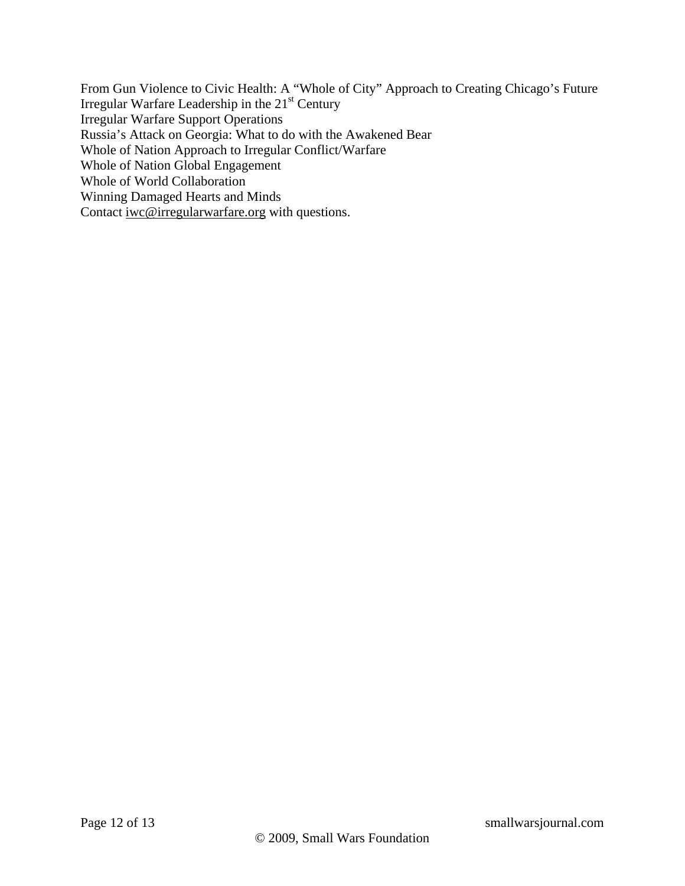From Gun Violence to Civic Health: A "Whole of City" Approach to Creating Chicago's Future Irregular Warfare Leadership in the 21<sup>st</sup> Century Irregular Warfare Support Operations Russia's Attack on Georgia: What to do with the Awakened Bear Whole of Nation Approach to Irregular Conflict/Warfare Whole of Nation Global Engagement Whole of World Collaboration Winning Damaged Hearts and Minds Contact [iwc@irregularwarfare.org](mailto:iwc@irregularwarfare.org) with questions.

Page 12 of 13 smallwarsjournal.com